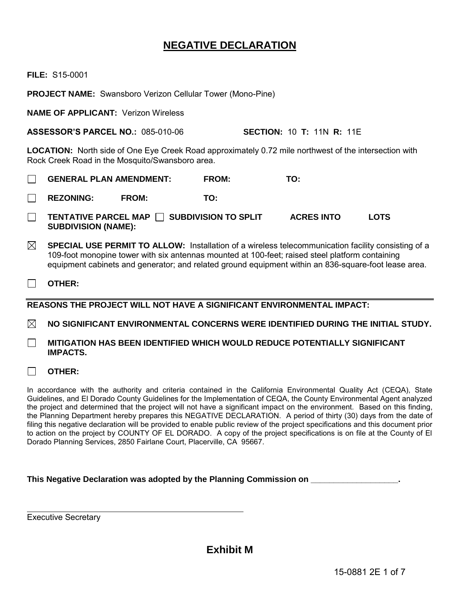# **NEGATIVE DECLARATION**

**FILE:** S15-0001

**PROJECT NAME:** Swansboro Verizon Cellular Tower (Mono-Pine)

**NAME OF APPLICANT:** Verizon Wireless

**ASSESSOR'S PARCEL NO.:** 085-010-06 **SECTION:** 10 **T:** 11N **R:** 11E

**LOCATION:** North side of One Eye Creek Road approximately 0.72 mile northwest of the intersection with Rock Creek Road in the Mosquito/Swansboro area.

- **GENERAL PLAN AMENDMENT: FROM: TO:**  $\Box$
- **REZONING: FROM: TO:**  $\Box$
- $\Box$ **TENTATIVE PARCEL MAP SUBDIVISION TO SPLIT ACRES INTO LOTS SUBDIVISION (NAME):**
- ⊠ **SPECIAL USE PERMIT TO ALLOW:** Installation of a wireless telecommunication facility consisting of a 109-foot monopine tower with six antennas mounted at 100-feet; raised steel platform containing equipment cabinets and generator; and related ground equipment within an 836-square-foot lease area.
- $\Box$ **OTHER:**

**REASONS THE PROJECT WILL NOT HAVE A SIGNIFICANT ENVIRONMENTAL IMPACT:**

 $\boxtimes$ **NO SIGNIFICANT ENVIRONMENTAL CONCERNS WERE IDENTIFIED DURING THE INITIAL STUDY.**

- **MITIGATION HAS BEEN IDENTIFIED WHICH WOULD REDUCE POTENTIALLY SIGNIFICANT**   $\Box$ **IMPACTS.**
- **OTHER:**  $\Box$

In accordance with the authority and criteria contained in the California Environmental Quality Act (CEQA), State Guidelines, and El Dorado County Guidelines for the Implementation of CEQA, the County Environmental Agent analyzed the project and determined that the project will not have a significant impact on the environment. Based on this finding, the Planning Department hereby prepares this NEGATIVE DECLARATION. A period of thirty (30) days from the date of filing this negative declaration will be provided to enable public review of the project specifications and this document prior to action on the project by COUNTY OF EL DORADO. A copy of the project specifications is on file at the County of El Dorado Planning Services, 2850 Fairlane Court, Placerville, CA 95667.

## This Negative Declaration was adopted by the Planning Commission on

Executive Secretary

 $\overline{a}$ 

**Exhibit M**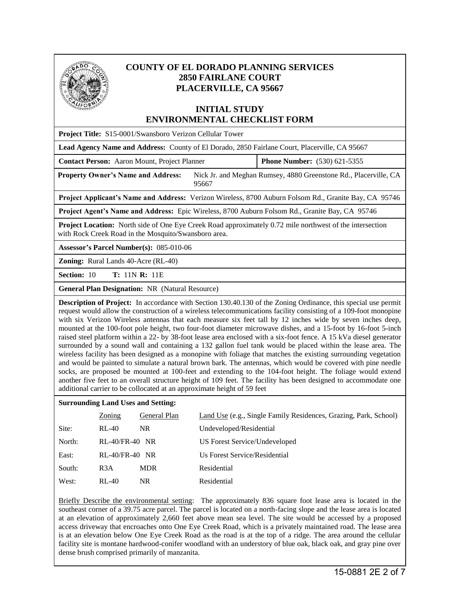

# **COUNTY OF EL DORADO PLANNING SERVICES 2850 FAIRLANE COURT PLACERVILLE, CA 95667**

# **INITIAL STUDY ENVIRONMENTAL CHECKLIST FORM**

| Project Title: S15-0001/Swansboro Verizon Cellular Tower                                                                                                                                                                                                                                                                                                                                                                                                                                                                                                                                                                                                                                                                                                                                                                                                                                                                                                                                                                                                      |                                     |  |  |
|---------------------------------------------------------------------------------------------------------------------------------------------------------------------------------------------------------------------------------------------------------------------------------------------------------------------------------------------------------------------------------------------------------------------------------------------------------------------------------------------------------------------------------------------------------------------------------------------------------------------------------------------------------------------------------------------------------------------------------------------------------------------------------------------------------------------------------------------------------------------------------------------------------------------------------------------------------------------------------------------------------------------------------------------------------------|-------------------------------------|--|--|
| Lead Agency Name and Address: County of El Dorado, 2850 Fairlane Court, Placerville, CA 95667                                                                                                                                                                                                                                                                                                                                                                                                                                                                                                                                                                                                                                                                                                                                                                                                                                                                                                                                                                 |                                     |  |  |
| Contact Person: Aaron Mount, Project Planner                                                                                                                                                                                                                                                                                                                                                                                                                                                                                                                                                                                                                                                                                                                                                                                                                                                                                                                                                                                                                  | <b>Phone Number:</b> (530) 621-5355 |  |  |
| Nick Jr. and Meghan Rumsey, 4880 Greenstone Rd., Placerville, CA<br><b>Property Owner's Name and Address:</b><br>95667                                                                                                                                                                                                                                                                                                                                                                                                                                                                                                                                                                                                                                                                                                                                                                                                                                                                                                                                        |                                     |  |  |
| Project Applicant's Name and Address: Verizon Wireless, 8700 Auburn Folsom Rd., Granite Bay, CA 95746                                                                                                                                                                                                                                                                                                                                                                                                                                                                                                                                                                                                                                                                                                                                                                                                                                                                                                                                                         |                                     |  |  |
| Project Agent's Name and Address: Epic Wireless, 8700 Auburn Folsom Rd., Granite Bay, CA 95746                                                                                                                                                                                                                                                                                                                                                                                                                                                                                                                                                                                                                                                                                                                                                                                                                                                                                                                                                                |                                     |  |  |
| <b>Project Location:</b> North side of One Eye Creek Road approximately 0.72 mile northwest of the intersection<br>with Rock Creek Road in the Mosquito/Swansboro area.                                                                                                                                                                                                                                                                                                                                                                                                                                                                                                                                                                                                                                                                                                                                                                                                                                                                                       |                                     |  |  |
| Assessor's Parcel Number(s): 085-010-06                                                                                                                                                                                                                                                                                                                                                                                                                                                                                                                                                                                                                                                                                                                                                                                                                                                                                                                                                                                                                       |                                     |  |  |
| <b>Zoning:</b> Rural Lands 40-Acre (RL-40)                                                                                                                                                                                                                                                                                                                                                                                                                                                                                                                                                                                                                                                                                                                                                                                                                                                                                                                                                                                                                    |                                     |  |  |
| <b>Section: 10</b><br><b>T:</b> 11N <b>R:</b> 11E                                                                                                                                                                                                                                                                                                                                                                                                                                                                                                                                                                                                                                                                                                                                                                                                                                                                                                                                                                                                             |                                     |  |  |
| <b>General Plan Designation: NR (Natural Resource)</b>                                                                                                                                                                                                                                                                                                                                                                                                                                                                                                                                                                                                                                                                                                                                                                                                                                                                                                                                                                                                        |                                     |  |  |
| <b>Description of Project:</b> In accordance with Section 130.40.130 of the Zoning Ordinance, this special use permit<br>request would allow the construction of a wireless telecommunications facility consisting of a 109-foot monopine<br>with six Verizon Wireless antennas that each measure six feet tall by 12 inches wide by seven inches deep,<br>mounted at the 100-foot pole height, two four-foot diameter microwave dishes, and a 15-foot by 16-foot 5-inch<br>raised steel platform within a 22- by 38-foot lease area enclosed with a six-foot fence. A 15 kVa diesel generator<br>surrounded by a sound wall and containing a 132 gallon fuel tank would be placed within the lease area. The<br>wireless facility has been designed as a monopine with foliage that matches the existing surrounding vegetation<br>and would be painted to simulate a natural brown bark. The antennas, which would be covered with pine needle<br>socks, are proposed be mounted at 100-feet and extending to the 104-foot height. The foliage would extend |                                     |  |  |

### **Surrounding Land Uses and Setting:**

additional carrier to be collocated at an approximate height of 59 feet

|        | Zoning           | General Plan | Land Use (e.g., Single Family Residences, Grazing, Park, School) |
|--------|------------------|--------------|------------------------------------------------------------------|
| Site:  | $RL-40$          | NR.          | Undeveloped/Residential                                          |
| North: | $RL-40/FR-40$ NR |              | US Forest Service/Undeveloped                                    |
| East:  | $RL-40/FR-40$ NR |              | Us Forest Service/Residential                                    |
| South: | R <sub>3</sub> A | MDR          | Residential                                                      |
| West:  | $RL-40$          | NR.          | Residential                                                      |

another five feet to an overall structure height of 109 feet. The facility has been designed to accommodate one

Briefly Describe the environmental setting: The approximately 836 square foot lease area is located in the southeast corner of a 39.75 acre parcel. The parcel is located on a north-facing slope and the lease area is located at an elevation of approximately 2,660 feet above mean sea level. The site would be accessed by a proposed access driveway that encroaches onto One Eye Creek Road, which is a privately maintained road. The lease area is at an elevation below One Eye Creek Road as the road is at the top of a ridge. The area around the cellular facility site is montane hardwood-conifer woodland with an understory of blue oak, black oak, and gray pine over dense brush comprised primarily of manzanita.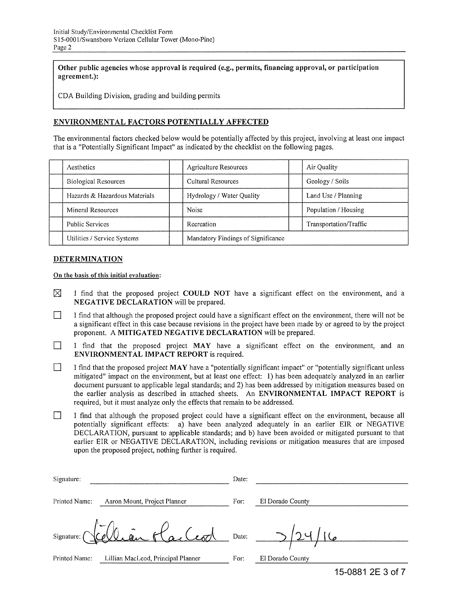Other public agencies whose approval is required (e.g., permits, financing approval, or participation agreement.):

CDA Building Division, grading and building permits

### ENVIRONMENTAL FACTORS POTENTIALLY AFFECTED

The environmental factors checked below would be potentially affected by this project, involving at least one impact that is a "Potentially Significant Impact" as indicated by the checklist on the following pages.

| Aesthetics                    | <b>Agriculture Resources</b>       | Air Quality            |
|-------------------------------|------------------------------------|------------------------|
| <b>Biological Resources</b>   | Cultural Resources                 | Geology / Soils        |
| Hazards & Hazardous Materials | Hydrology / Water Quality          | Land Use / Planning    |
| Mineral Resources             | Noise                              | Population / Housing   |
| <b>Public Services</b>        | Recreation                         | Transportation/Traffic |
| Utilities / Service Systems   | Mandatory Findings of Significance |                        |

#### DETERMINATION

On the basis of this initial evaluation:

- $\boxtimes$  I find that the proposed project COULD NOT have a significant effect on the environment, and a NEGATIVE DECLARATION will be prepared.
- I find that although the proposed project could have a significant effect on the environment, there will not be a significant effect in this case because revisions in the project have been made by or agreed to by the project proponent. A MITIGATED NEGATIVE DECLARATION will be prepared.
- I find that the proposed project  $MAX$  have a significant effect on the environment, and an ENVIRONMENTAL IMPACT REPORT is required.
- I find that the proposed project  $MAX$  have a "potentially significant impact" or "potentially significant unless mitigated" impact on the environment, but at least one effect: 1) has been adequately analyzed in an earlier document pursuant to applicable legal standards; and 2) has been addressed by mitigation measures based on the earlier analysis as described in attached sheets. An ENVIRONMENTAL IMPACT REPORT is required, but it must analyze only the effects that remain to be addressed.
- I find that although the proposed project could have a significant effect on the environment, because all potentially significant effects: a) have been analyzed adequately in an earlier EIR or NEGATIVE DECLARATION, pursuant to applicable standards; and b) have been avoided or mitigated pursuant to that earlier EIR or NEGATIVE DECLARATION, including revisions or mitigation measures that are imposed upon the proposed project, nothing further is required.

| Signature:    |                                    | Date: |                  |
|---------------|------------------------------------|-------|------------------|
| Printed Name: | Aaron Mount, Project Planner       | For:  | El Dorado County |
|               | Signature: Viellian Hacleod        | Date: |                  |
| Printed Name: | Lillian MacLeod, Principal Planner | For:  | El Dorado County |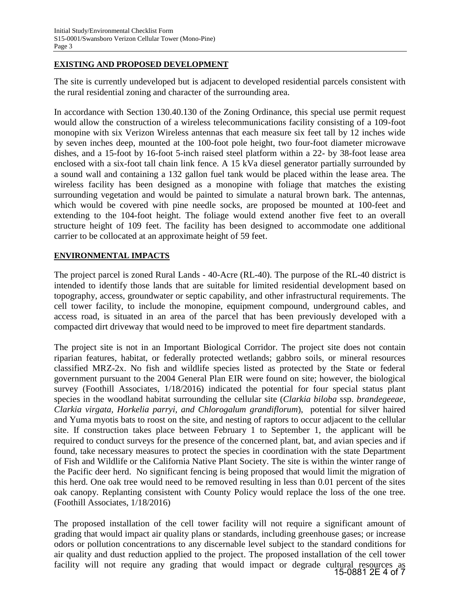# **EXISTING AND PROPOSED DEVELOPMENT**

The site is currently undeveloped but is adjacent to developed residential parcels consistent with the rural residential zoning and character of the surrounding area.

In accordance with Section 130.40.130 of the Zoning Ordinance, this special use permit request would allow the construction of a wireless telecommunications facility consisting of a 109-foot monopine with six Verizon Wireless antennas that each measure six feet tall by 12 inches wide by seven inches deep, mounted at the 100-foot pole height, two four-foot diameter microwave dishes, and a 15-foot by 16-foot 5-inch raised steel platform within a 22- by 38-foot lease area enclosed with a six-foot tall chain link fence. A 15 kVa diesel generator partially surrounded by a sound wall and containing a 132 gallon fuel tank would be placed within the lease area. The wireless facility has been designed as a monopine with foliage that matches the existing surrounding vegetation and would be painted to simulate a natural brown bark. The antennas, which would be covered with pine needle socks, are proposed be mounted at 100-feet and extending to the 104-foot height. The foliage would extend another five feet to an overall structure height of 109 feet. The facility has been designed to accommodate one additional carrier to be collocated at an approximate height of 59 feet.

# **ENVIRONMENTAL IMPACTS**

The project parcel is zoned Rural Lands - 40-Acre (RL-40). The purpose of the RL-40 district is intended to identify those lands that are suitable for limited residential development based on topography, access, groundwater or septic capability, and other infrastructural requirements. The cell tower facility, to include the monopine, equipment compound, underground cables, and access road, is situated in an area of the parcel that has been previously developed with a compacted dirt driveway that would need to be improved to meet fire department standards.

The project site is not in an Important Biological Corridor. The project site does not contain riparian features, habitat, or federally protected wetlands; gabbro soils, or mineral resources classified MRZ-2x. No fish and wildlife species listed as protected by the State or federal government pursuant to the 2004 General Plan EIR were found on site; however, the biological survey (Foothill Associates, 1/18/2016) indicated the potential for four special status plant species in the woodland habitat surrounding the cellular site (*Clarkia biloba* ssp. *brandegeeae, Clarkia virgata, Horkelia parryi, and Chlorogalum grandiflorum*), potential for silver haired and Yuma myotis bats to roost on the site, and nesting of raptors to occur adjacent to the cellular site. If construction takes place between February 1 to September 1, the applicant will be required to conduct surveys for the presence of the concerned plant, bat, and avian species and if found, take necessary measures to protect the species in coordination with the state Department of Fish and Wildlife or the California Native Plant Society. The site is within the winter range of the Pacific deer herd. No significant fencing is being proposed that would limit the migration of this herd. One oak tree would need to be removed resulting in less than 0.01 percent of the sites oak canopy. Replanting consistent with County Policy would replace the loss of the one tree. (Foothill Associates, 1/18/2016)

The proposed installation of the cell tower facility will not require a significant amount of grading that would impact air quality plans or standards, including greenhouse gases; or increase odors or pollution concentrations to any discernable level subject to the standard conditions for air quality and dust reduction applied to the project. The proposed installation of the cell tower facility will not require any grading that would impact or degrade cultural resources as 15-0881 2E 4 of 7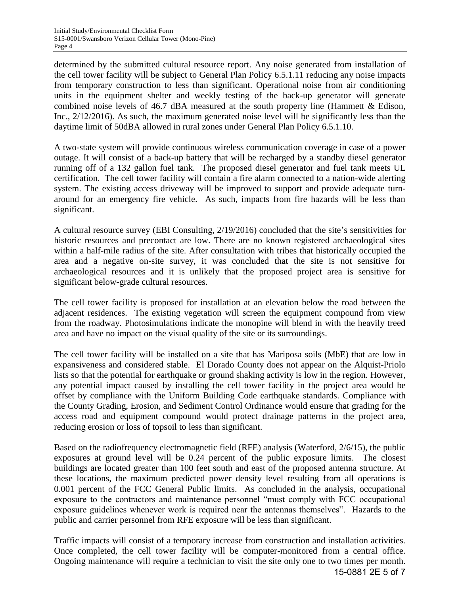determined by the submitted cultural resource report. Any noise generated from installation of the cell tower facility will be subject to General Plan Policy 6.5.1.11 reducing any noise impacts from temporary construction to less than significant. Operational noise from air conditioning units in the equipment shelter and weekly testing of the back-up generator will generate combined noise levels of 46.7 dBA measured at the south property line (Hammett & Edison, Inc., 2/12/2016). As such, the maximum generated noise level will be significantly less than the daytime limit of 50dBA allowed in rural zones under General Plan Policy 6.5.1.10.

A two-state system will provide continuous wireless communication coverage in case of a power outage. It will consist of a back-up battery that will be recharged by a standby diesel generator running off of a 132 gallon fuel tank. The proposed diesel generator and fuel tank meets UL certification. The cell tower facility will contain a fire alarm connected to a nation-wide alerting system. The existing access driveway will be improved to support and provide adequate turnaround for an emergency fire vehicle. As such, impacts from fire hazards will be less than significant.

A cultural resource survey (EBI Consulting, 2/19/2016) concluded that the site's sensitivities for historic resources and precontact are low. There are no known registered archaeological sites within a half-mile radius of the site. After consultation with tribes that historically occupied the area and a negative on-site survey, it was concluded that the site is not sensitive for archaeological resources and it is unlikely that the proposed project area is sensitive for significant below-grade cultural resources.

The cell tower facility is proposed for installation at an elevation below the road between the adjacent residences. The existing vegetation will screen the equipment compound from view from the roadway. Photosimulations indicate the monopine will blend in with the heavily treed area and have no impact on the visual quality of the site or its surroundings.

The cell tower facility will be installed on a site that has Mariposa soils (MbE) that are low in expansiveness and considered stable. El Dorado County does not appear on the Alquist-Priolo lists so that the potential for earthquake or ground shaking activity is low in the region. However, any potential impact caused by installing the cell tower facility in the project area would be offset by compliance with the Uniform Building Code earthquake standards. Compliance with the County Grading, Erosion, and Sediment Control Ordinance would ensure that grading for the access road and equipment compound would protect drainage patterns in the project area, reducing erosion or loss of topsoil to less than significant.

Based on the radiofrequency electromagnetic field (RFE) analysis (Waterford, 2/6/15), the public exposures at ground level will be 0.24 percent of the public exposure limits. The closest buildings are located greater than 100 feet south and east of the proposed antenna structure. At these locations, the maximum predicted power density level resulting from all operations is 0.001 percent of the FCC General Public limits. As concluded in the analysis, occupational exposure to the contractors and maintenance personnel "must comply with FCC occupational exposure guidelines whenever work is required near the antennas themselves". Hazards to the public and carrier personnel from RFE exposure will be less than significant.

Traffic impacts will consist of a temporary increase from construction and installation activities. Once completed, the cell tower facility will be computer-monitored from a central office. Ongoing maintenance will require a technician to visit the site only one to two times per month. 15-0881 2E 5 of 7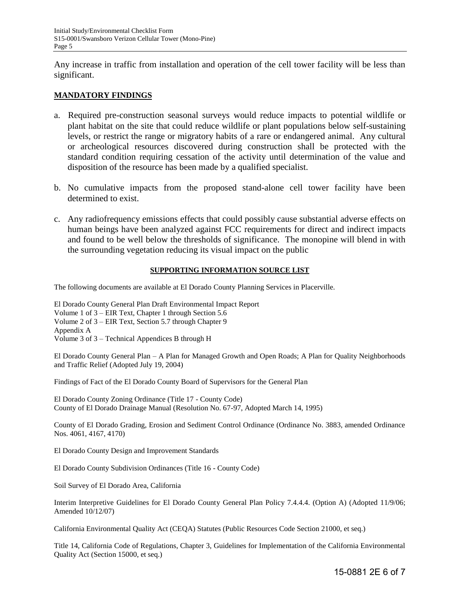Any increase in traffic from installation and operation of the cell tower facility will be less than significant.

### **MANDATORY FINDINGS**

- a. Required pre-construction seasonal surveys would reduce impacts to potential wildlife or plant habitat on the site that could reduce wildlife or plant populations below self-sustaining levels, or restrict the range or migratory habits of a rare or endangered animal. Any cultural or archeological resources discovered during construction shall be protected with the standard condition requiring cessation of the activity until determination of the value and disposition of the resource has been made by a qualified specialist.
- b. No cumulative impacts from the proposed stand-alone cell tower facility have been determined to exist.
- c. Any radiofrequency emissions effects that could possibly cause substantial adverse effects on human beings have been analyzed against FCC requirements for direct and indirect impacts and found to be well below the thresholds of significance. The monopine will blend in with the surrounding vegetation reducing its visual impact on the public

### **SUPPORTING INFORMATION SOURCE LIST**

The following documents are available at El Dorado County Planning Services in Placerville.

El Dorado County General Plan Draft Environmental Impact Report Volume 1 of 3 – EIR Text, Chapter 1 through Section 5.6 Volume 2 of 3 – EIR Text, Section 5.7 through Chapter 9 Appendix A Volume 3 of 3 – Technical Appendices B through H

El Dorado County General Plan – A Plan for Managed Growth and Open Roads; A Plan for Quality Neighborhoods and Traffic Relief (Adopted July 19, 2004)

Findings of Fact of the El Dorado County Board of Supervisors for the General Plan

El Dorado County Zoning Ordinance (Title 17 - County Code) County of El Dorado Drainage Manual (Resolution No. 67-97, Adopted March 14, 1995)

County of El Dorado Grading, Erosion and Sediment Control Ordinance (Ordinance No. 3883, amended Ordinance Nos. 4061, 4167, 4170)

El Dorado County Design and Improvement Standards

El Dorado County Subdivision Ordinances (Title 16 - County Code)

Soil Survey of El Dorado Area, California

Interim Interpretive Guidelines for El Dorado County General Plan Policy 7.4.4.4. (Option A) (Adopted 11/9/06; Amended 10/12/07)

California Environmental Quality Act (CEQA) Statutes (Public Resources Code Section 21000, et seq.)

Title 14, California Code of Regulations, Chapter 3, Guidelines for Implementation of the California Environmental Quality Act (Section 15000, et seq.)